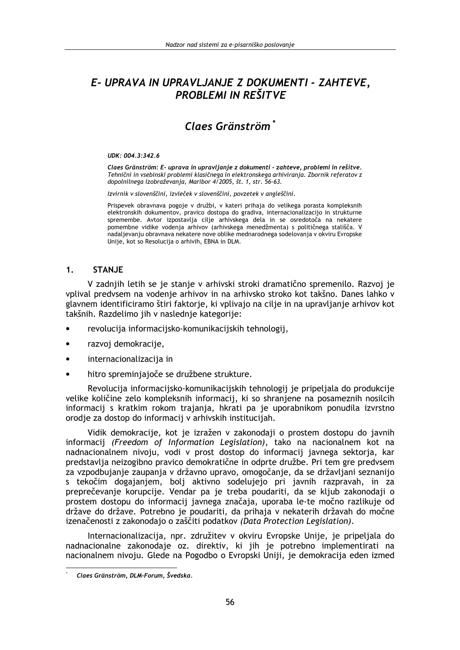# E- UPRAVA IN UPRAVLJANJE Z DOKUMENTI - ZAHTEVE, **PROBLEMI IN REŠITVE**

# Claes Gränström<sup>\*</sup>

#### UDK: 004.3:342.6

Claes Gränström: E- uprava in upravlianie z dokumenti - zahteve, problemi in rešitve. Tehnični in vsebinski problemi klasičnega in elektronskega arhiviranja. Zbornik referatov z dopolnilnega izobraževanja, Maribor 4/2005, št. 1, str. 56-63.

Izvirnik v slovenščini, izvleček v slovenščini, povzetek v angleščini.

Prispevek obravnava pogoje v družbi, v kateri prihaja do velikega porasta kompleksnih elektronskih dokumentov, pravico dostopa do gradiva, internacionalizacijo in strukturne spremembe. Avtor izpostavlja cilje arhivskega dela in se osredotoča na nekatere pomembne vidike vodenja arhivov (arhivskega menedžmenta) s političnega stališča. V nadalievaniu obravnava nekatere nove oblike mednarodnega sodelovania v okviru Evropske Unije, kot so Resolucija o arhivih, EBNA in DLM.

#### $1<sub>1</sub>$ **STAN.JE**

V zadnijh letih se je stanje v arhivski stroki dramatično spremenilo. Razvoj je vplival predysem na vodenie arhivov in na arhivsko stroko kot takšno. Danes lahko v glavnem identificiramo štiri faktorje, ki vplivajo na cilje in na upravljanje arhivov kot takšnih. Razdelimo jih v naslednie kategorije:

- revolucija informacijsko-komunikacijskih tehnologij,
- $\bullet$ razvoi demokraciie.
- internacionalizacija in  $\bullet$
- hitro spreminjajoče se družbene strukture.

Revolucija informacijsko-komunikacijskih tehnologij je pripeljala do produkcije velike količine zelo kompleksnih informacij, ki so shranjene na posameznih nosilcih informacij s kratkim rokom trajanja, hkrati pa je uporabnikom ponudila izvrstno orodje za dostop do informacij v arhivskih institucijah.

Vidik demokracije, kot je izražen v zakonodaji o prostem dostopu do javnih informacij (Freedom of Information Legislation), tako na nacionalnem kot na nadnacionalnem nivoju, vodi v prost dostop do informacij javnega sektorja, kar predstavlja neizogibno pravico demokratične in odprte družbe. Pri tem gre predvsem za vzpodbujanje zaupanja v državno upravo, omogočanje, da se državljani seznanijo s tekočim dogajanjem, bolj aktivno sodelujejo pri javnih razpravah, in za preprečevanje korupcije. Vendar pa je treba poudariti, da se kljub zakonodaji o prostem dostopu do informacij javnega značaja, uporaba le-te močno razlikuje od države do države. Potrebno je poudariti, da prihaja v nekaterih državah do močne izenačenosti z zakonodajo o zaščiti podatkov (Data Protection Legislation).

Internacionalizacija, npr. združitev v okviru Evropske Unije, je pripeljala do nadnacionalne zakonodaje oz. direktiv, ki jih je potrebno implementirati na nacionalnem nivoju. Glede na Pogodbo o Evropski Uniji, je demokracija eden izmed

Claes Gränström, DLM-Forum, Švedska.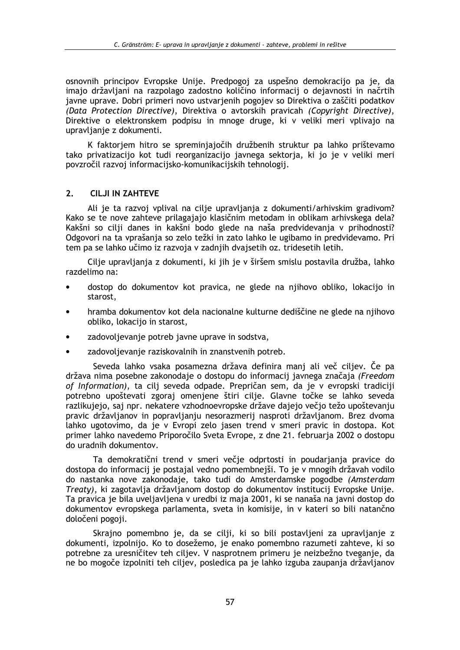osnovnih principov Evropske Unije. Predpogoj za uspešno demokracijo pa je, da imajo državljani na razpolago zadostno količino informacij o dejavnosti in načrtih javne uprave. Dobri primeri novo ustvarienih pogojev so Direktiva o zaščiti podatkov (Data Protection Directive), Direktiva o avtorskih pravicah (Copyright Directive), Direktive o elektronskem podpisu in mnoge druge, ki v veliki meri vplivajo na upravljanje z dokumenti.

K faktorjem hitro se spreminjajočih družbenih struktur pa lahko prištevamo tako privatizacijo kot tudi reorganizacijo javnega sektorja, ki jo je v veliki meri povzročil razvoj informacijsko-komunikacijskih tehnologij.

#### $2.$ **CILJI IN ZAHTEVE**

Ali je ta razvoj vplival na cilje upravljanja z dokumenti/arhivskim gradivom? Kako se te nove zahteve prilagajajo klasičnim metodam in oblikam arhivskega dela? Kakšni so cilji danes in kakšni bodo glede na naša predvidevanja v prihodnosti? Odgovori na ta vprašanja so zelo težki in zato lahko le ugibamo in predvidevamo. Pri tem pa se lahko učimo iz razvoja v zadnjih dvajsetih oz. tridesetih letih.

Cilje upravljanja z dokumenti, ki jih je v širšem smislu postavila družba, lahko razdelimo na:

- dostop do dokumentov kot pravica, ne glede na njihovo obliko, lokacijo in starost,
- hramba dokumentov kot dela nacionalne kulturne dediščine ne glede na njihovo obliko, lokacijo in starost,
- zadovoljevanje potreb javne uprave in sodstva,
- zadovoljevanje raziskovalnih in znanstvenih potreb.

Seveda lahko vsaka posamezna država definira manj ali več ciljev. Če pa država nima posebne zakonodaje o dostopu do informacij javnega značaja (Freedom of Information), ta cili seveda odpade. Prepričan sem, da je v evropski tradiciji potrebno upoštevati zgoraj omenjene štiri cilje. Glavne točke se lahko seveda razlikujejo, saj npr. nekatere vzhodnoevropske države dajejo večio težo upoštevanju pravic državljanov in popravljanju nesorazmerij nasproti državljanom. Brez dvoma lahko ugotovimo, da je v Evropi zelo jasen trend v smeri pravic in dostopa. Kot primer lahko navedemo Priporočilo Sveta Evrope, z dne 21. februaria 2002 o dostopu do uradnih dokumentov.

Ta demokratični trend v smeri večje odprtosti in poudarjanja pravice do dostopa do informacii je postajal vedno pomembnejši. To je v mnogih državah vodilo do nastanka nove zakonodaje, tako tudi do Amsterdamske pogodbe (Amsterdam Treaty), ki zagotavlja državljanom dostop do dokumentov institucij Evropske Unije. Ta pravica je bila uveljavljena v uredbi iz maja 2001, ki se nanaša na javni dostop do dokumentov evropskega parlamenta, sveta in komisije, in v kateri so bili natančno določeni pogoji.

Skrajno pomembno je, da se cilji, ki so bili postavljeni za upravljanje z dokumenti, izpolnijo. Ko to dosežemo, je enako pomembno razumeti zahteve, ki so potrebne za uresničitev teh ciljev. V nasprotnem primeru je neizbežno tveganje, da ne bo mogoče izpolniti teh ciljev, posledica pa je lahko izguba zaupanja državljanov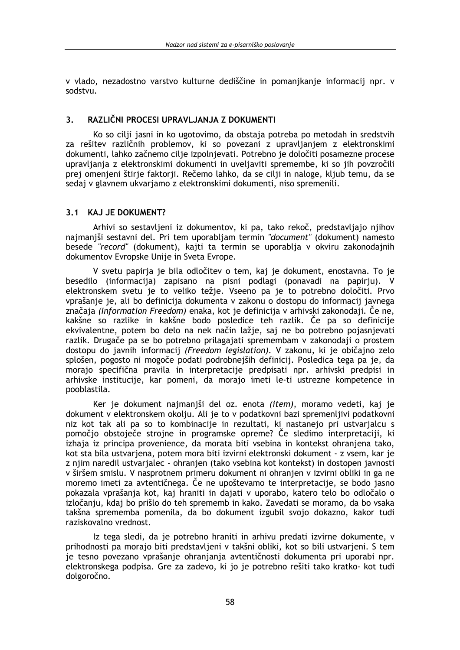v vlado, nezadostno varstvo kulturne dediščine in pomanikanie informacii npr. v sodstvu.

#### $\overline{\mathbf{3}}$ RAZLIČNI PROCESI UPRAVLJANJA Z DOKUMENTI

Ko so cilji jasni in ko ugotovimo, da obstaja potreba po metodah in sredstvih za rešitev različnih problemov, ki so povezani z upravljanjem z elektronskimi dokumenti, lahko začnemo cilje izpolnjevati. Potrebno je določiti posamezne procese upravljanja z elektronskimi dokumenti in uveljaviti spremembe, ki so jih povzročili prej omenjeni štirje faktorji. Rečemo lahko, da se cilji in naloge, kljub temu, da se sedaj v glavnem ukvarjamo z elektronskimi dokumenti, niso spremenili.

### 3.1 KAJ JE DOKUMENT?

Arhivi so sestavljeni iz dokumentov, ki pa, tako rekoč, predstavljajo njihov najmanjši sestavni del. Pri tem uporabljam termin "document" (dokument) namesto besede "record" (dokument), kajti ta termin se uporablja v okviru zakonodajnih dokumentov Evropske Unije in Sveta Evrope.

V svetu papirja je bila odločitev o tem, kaj je dokument, enostavna. To je besedilo (informacija) zapisano na pisni podlagi (ponavadi na papirju). V elektronskem svetu je to veliko težje. Vseeno pa je to potrebno določiti. Prvo vprašanje je, ali bo definicija dokumenta v zakonu o dostopu do informacij javnega značaja (Information Freedom) enaka, kot je definicija v arhivski zakonodaji. Če ne, kakšne so razlike in kakšne bodo posledice teh razlik. Če pa so definicije ekvivalentne, potem bo delo na nek način lažje, saj ne bo potrebno pojasnjevati razlik. Drugače pa se bo potrebno prilagajati spremembam v zakonodaji o prostem dostopu do javnih informacij (Freedom legislation). V zakonu, ki je običajno zelo splošen, pogosto ni mogoče podati podrobnejših definicij. Posledica tega pa je, da morajo specifična pravila in interpretacije predpisati npr. arhivski predpisi in arhivske institucije, kar pomeni, da morajo imeti le-ti ustrezne kompetence in pooblastila.

Ker je dokument najmanjši del oz. enota (item), moramo vedeti, kaj je dokument v elektronskem okolju. Ali je to v podatkovni bazi spremenljivi podatkovni niz kot tak ali pa so to kombinacije in rezultati, ki nastanejo pri ustvarjalcu s pomočjo obstoječe strojne in programske opreme? Če sledimo interpretaciji, ki izhaja iz principa provenience, da morata biti vsebina in kontekst ohranjena tako, kot sta bila ustvarjena, potem mora biti izvirni elektronski dokument - z vsem, kar je z njim naredil ustvarjalec - ohranjen (tako vsebina kot kontekst) in dostopen javnosti v širšem smislu. V nasprotnem primeru dokument ni ohranjen v izvirni obliki in ga ne moremo imeti za avtentičnega. Ĉe ne upoštevamo te interpretacije, se bodo jasno pokazala vprašanja kot, kaj hraniti in dajati v uporabo, katero telo bo odločalo o izločanju, kdaj bo prišlo do teh sprememb in kako. Zavedati se moramo, da bo vsaka takšna sprememba pomenila, da bo dokument izgubil svojo dokazno, kakor tudi raziskovalno vrednost.

Iz tega sledi, da je potrebno hraniti in arhivu predati izvirne dokumente. v prihodnosti pa morajo biti predstavljeni v takšni obliki, kot so bili ustvarjeni. S tem je tesno povezano vprašanje ohranjanja avtentičnosti dokumenta pri uporabi npr. elektronskega podpisa. Gre za zadevo, ki jo je potrebno rešiti tako kratko- kot tudi dolgoročno.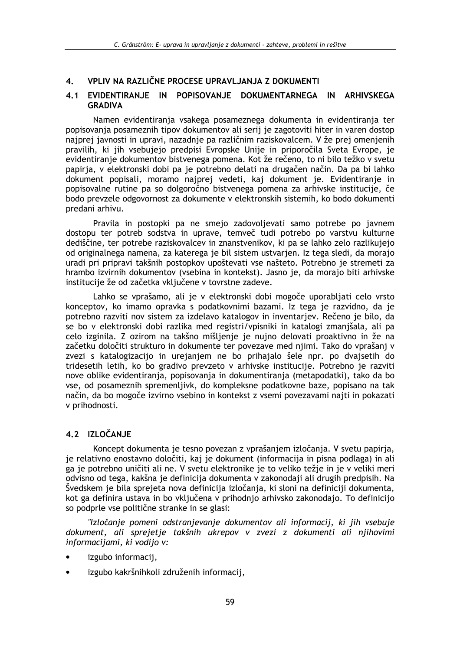#### VPLIV NA RAZLIČNE PROCESE UPRAVLJANJA Z DOKUMENTI 4.

## 4.1 EVIDENTIRANJE IN POPISOVANJE DOKUMENTARNEGA IN ARHIVSKEGA **GRADIVA**

Namen evidentiranja vsakega posameznega dokumenta in evidentiranja ter popisovanja posameznih tipov dokumentov ali serij je zagotoviti hiter in varen dostop najprej javnosti in upravi, nazadnje pa različnim raziskovalcem. V že prej omenjenih pravilih, ki jih vsebujejo predpisi Evropske Unije in priporočila Sveta Evrope, je evidentiranje dokumentov bistvenega pomena. Kot že rečeno, to ni bilo težko v svetu papirja, v elektronski dobi pa je potrebno delati na drugačen način. Da pa bi lahko dokument popisali, moramo najprej vedeti, kaj dokument je. Evidentiranje in popisovalne rutine pa so dolgoročno bistvenega pomena za arhivske institucije, če bodo prevzele odgovornost za dokumente v elektronskih sistemih, ko bodo dokumenti predani arhivu.

Pravila in postopki pa ne smejo zadovoljevati samo potrebe po javnem dostopu ter potreb sodstva in uprave, temveč tudi potrebo po varstvu kulturne dediščine, ter potrebe raziskovalcev in znanstvenikov, ki pa se lahko zelo razlikujejo od originalnega namena, za katerega je bil sistem ustvarjen. Iz tega sledi, da morajo uradi pri pripravi takšnih postopkov upoštevati vse našteto. Potrebno je stremeti za hrambo izvirnih dokumentov (vsebina in kontekst). Jasno je, da morajo biti arhivske institucije že od začetka vključene v tovrstne zadeve.

Lahko se vprašamo, ali je v elektronski dobi mogoče uporabljati celo vrsto konceptov, ko imamo opravka s podatkovnimi bazami. Iz tega je razvidno, da je potrebno razviti nov sistem za izdelavo katalogov in inventarjev. Rečeno je bilo, da se bo v elektronski dobi razlika med registri/vpisniki in katalogi zmanjšala, ali pa celo izginila. Z ozirom na takšno mišljenje je nujno delovati proaktivno in že na začetku določiti strukturo in dokumente ter povezave med njimi. Tako do vprašanj v zvezi s katalogizacijo in urejanjem ne bo prihajalo šele npr. po dvajsetih do tridesetih letih, ko bo gradivo prevzeto v arhivske institucije. Potrebno je razviti nove oblike evidentiranja, popisovanja in dokumentiranja (metapodatki), tako da bo yse, od posameznih spremenljivk, do kompleksne podatkovne baze, popisano na tak način, da bo mogoče izvirno vsebino in kontekst z vsemi povezavami najti in pokazati v prihodnosti.

## 4.2 IZLOČANJE

Koncept dokumenta je tesno povezan z vprašanjem izločanja. V svetu papirja, je relativno enostavno določiti, kaj je dokument (informacija in pisna podlaga) in ali ga je potrebno uničiti ali ne. V svetu elektronike je to veliko težje in je v veliki meri odvisno od tega, kakšna je definicija dokumenta v zakonodaji ali drugih predpisih. Na Švedskem je bila sprejeta nova definicija izločanja, ki sloni na definiciji dokumenta, kot ga definira ustava in bo vključena v prihodnjo arhivsko zakonodajo. To definicijo so podprle vse politične stranke in se glasi:

"Izločanje pomeni odstranjevanje dokumentov ali informacij, ki jih vsebuje dokument, ali sprejetje takšnih ukrepov v zvezi z dokumenti ali njihovimi informacijami, ki vodijo v:

- izgubo informacii,
- izgubo kakršnihkoli združenih informacij,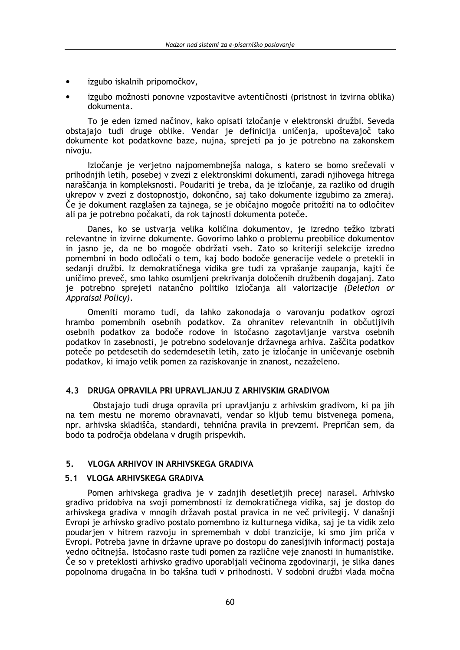- izgubo iskalnih pripomočkov.
- izgubo možnosti ponovne vzpostavitve avtentičnosti (pristnost in izvirna oblika) dokumenta.

To je eden izmed načinov, kako opisati izločanje v elektronski družbi. Seveda obstajajo tudi druge oblike. Vendar je definicija uničenja, upoštevajoč tako dokumente kot podatkovne baze, nuina, sprejeti pa jo je potrebno na zakonskem nivoju.

Izločanie je verietno najpomembnejša naloga, s katero se bomo srečevali v prihodnijh letih, posebej v zvezi z elektronskimi dokumenti, zaradi nijhovega hitrega naraščanja in kompleksnosti. Poudariti je treba, da je izločanje, za razliko od drugih ukrepov v zvezi z dostopnostjo, dokončno, saj tako dokumente izgubimo za zmeraj. Če je dokument razglašen za tajnega, se je običajno mogoče pritožiti na to odločitev ali pa je potrebno počakati, da rok tajnosti dokumenta poteče.

Danes, ko se ustvaria velika količina dokumentov, je izredno težko izbrati relevantne in izvirne dokumente. Govorimo lahko o problemu preobilice dokumentov in jasno je, da ne bo mogoče obdržati vseh. Zato so kriteriji selekcije izredno pomembni in bodo odločali o tem, kaj bodo bodoče generacije vedele o pretekli in sedanji družbi. Iz demokratičnega vidika gre tudi za vprašanje zaupanja, kajti če uničimo preveč, smo lahko osumljeni prekrivanja določenih družbenih dogajanj. Zato je potrebno sprejeti natančno politiko izločanja ali valorizacije (Deletion or Appraisal Policy).

Omeniti moramo tudi, da lahko zakonodaja o varovanju podatkov ogrozi hrambo pomembnih osebnih podatkov. Za ohranitev relevantnih in občutljivih osebnih podatkov za bodoče rodove in istočasno zagotavljanje varstva osebnih podatkov in zasebnosti, je potrebno sodelovanje državnega arhiva. Zaščita podatkov poteče po petdesetih do sedemdesetih letih, zato je izločanje in uničevanje osebnih podatkov, ki imajo velik pomen za raziskovanie in znanost, nezaželeno.

### 4.3 DRUGA OPRAVILA PRI UPRAVLJANJU Z ARHIVSKIM GRADIVOM

Obstajajo tudi druga opravila pri upravljanju z arhivskim gradivom, ki pa jih na tem mestu ne moremo obravnavati, vendar so kliub temu bistvenega pomena, npr. arhivska skladišča, standardi, tehnična pravila in prevzemi. Prepričan sem, da bodo ta področja obdelana v drugih prispevkih.

#### $5<sub>1</sub>$ **VLOGA ARHIVOV IN ARHIVSKEGA GRADIVA**

## 5.1 VLOGA ARHIVSKEGA GRADIVA

Pomen arhivskega gradiva je v zadnjih desetletjih precej narasel. Arhivsko gradivo pridobiva na svoji pomembnosti iz demokratičnega vidika, saj je dostop do arhivskega gradiva v mnogih državah postal pravica in ne več privilegij. V današnji Evropi je arhivsko gradivo postalo pomembno iz kulturnega vidika, saj je ta vidik zelo poudarjen v hitrem razvoju in spremembah v dobi tranzicije, ki smo jim priča v Evropi. Potreba javne in državne uprave po dostopu do zanesljivih informacij postaja vedno očitnejša. Istočasno raste tudi pomen za različne veje znanosti in humanistike. Če so v preteklosti arhivsko gradivo uporabliali večinoma zgodovinarii, je slika danes popolnoma drugačna in bo takšna tudi v prihodnosti. V sodobni družbi vlada močna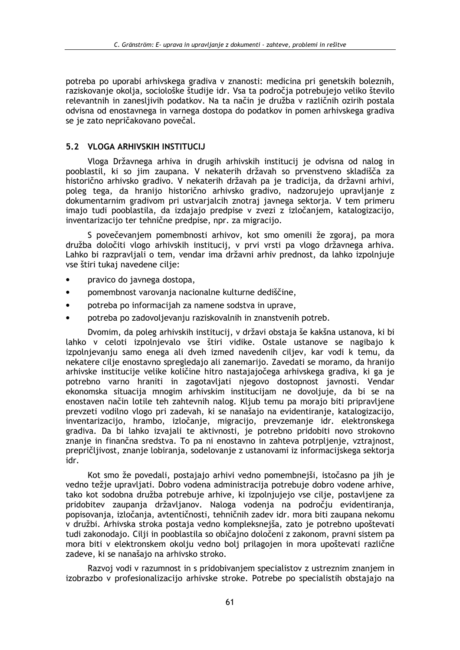potreba po uporabi arhivskega gradiva v znanosti: medicina pri genetskih boleznih, raziskovanie okolia, sociološke študije idr. Vsa ta področia potrebujejo veliko število relevantnih in zanesljivih podatkov. Na ta način je družba v različnih ozirih postala odvisna od enostavnega in varnega dostopa do podatkov in pomen arhivskega gradiva se je zato nepričakovano povečal.

## 5.2 VLOGA ARHIVSKIH INSTITUCIJ

Vloga Državnega arhiva in drugih arhivskih institucij je odvisna od nalog in pooblastil, ki so jim zaupana. V nekaterih državah so prvenstveno skladišča za historično arhivsko gradivo. V nekaterih državah pa je tradicija, da državni arhivi, poleg tega, da hranijo historično arhivsko gradivo, nadzorujejo upravljanje z dokumentarnim gradivom pri ustvarjalcih znotraj javnega sektorja. V tem primeru imajo tudi pooblastila, da izdajajo predpise v zvezi z izločanjem, katalogizacijo, inventarizacijo ter tehnične predpise, npr. za migracijo.

S povečevanjem pomembnosti arhivov, kot smo omenili že zgoraj, pa mora družba določiti vlogo arhivskih institucii, v prvi vrsti pa vlogo državnega arhiva. Lahko bi razpravljali o tem, vendar ima državni arhiv prednost, da lahko izpolnjuje vse štiri tukaj navedene cilje:

- pravico do javnega dostopa.
- $\bullet$ pomembnost varovanja nacionalne kulturne dediščine,
- potreba po informacijah za namene sodstva in uprave,
- potreba po zadovoljevanju raziskovalnih in znanstvenih potreb.  $\bullet$

Dvomim, da poleg arhivskih institucij, v državi obstaja še kakšna ustanova, ki bi lahko v celoti izpolnjevalo vse štiri vidike. Ostale ustanove se nagibajo k izpolnievaniu samo enega ali dyeh izmed navedenih ciliev, kar vodi k temu, da nekatere cilie enostavno spregledajo ali zanemarijo. Zavedati se moramo, da hranijo arhivske institucije velike količine hitro nastajajočega arhivskega gradiva, ki ga je potrebno varno hraniti in zagotavljati njegovo dostopnost javnosti. Vendar ekonomska situacija mnogim arhivskim institucijam ne dovoljuje, da bi se na enostaven način lotile teh zahtevnih nalog. Kljub temu pa morajo biti pripravljene prevzeti vodilno vlogo pri zadevah, ki se nanašajo na evidentiranje, katalogizacijo, inventarizacijo, hrambo, izločanje, migracijo, prevzemanje idr. elektronskega gradiva. Da bi lahko izvajali te aktivnosti, je potrebno pridobiti novo strokovno znanje in finančna sredstva. To pa ni enostavno in zahteva potrpljenje, vztrajnost, prepričljivost, znanje lobiranja, sodelovanje z ustanovami iz informacijskega sektorja idr.

Kot smo že povedali, postajajo arhivi vedno pomembnejši, istočasno pa jih je vedno težie upravljati. Dobro vodena administracija potrebuje dobro vodene arhive, tako kot sodobna družba potrebuje arhive, ki izpolnjujejo vse cilje, postavljene za pridobitev zaupanja državljanov. Naloga vodenja na področju evidentiranja, popisovanja, izločanja, avtentičnosti, tehničnih zadev idr. mora biti zaupana nekomu v družbi. Arhivska stroka postaja vedno kompleksnejša, zato je potrebno upoštevati tudi zakonodajo. Cilji in pooblastila so običajno določeni z zakonom, pravni sistem pa mora biti v elektronskem okolju vedno bolj prilagojen in mora upoštevati različne zadeve, ki se nanašajo na arhivsko stroko.

Razvoj vodi v razumnost in s pridobivanjem specialistov z ustreznim znanjem in izobrazbo v profesionalizacijo arhivske stroke. Potrebe po specialistih obstajajo na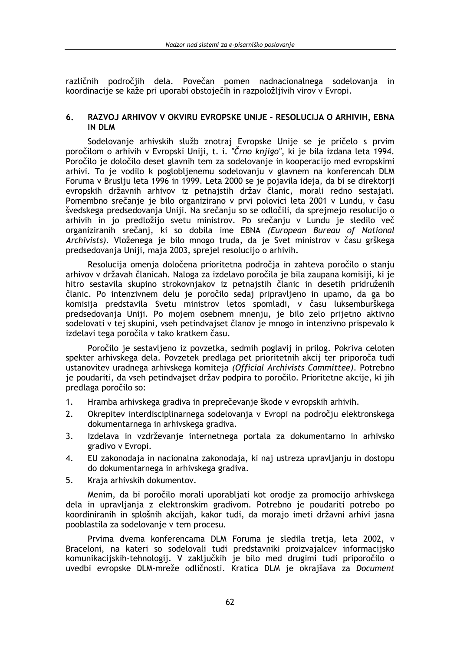različnih področijh dela. Povečan pomen nadnacionalnega sodelovania in koordinacije se kaže pri uporabi obstoječih in razpoložlijivih virov v Evropi.

#### 6. RAZVOJ ARHIVOV V OKVIRU EVROPSKE UNIJE - RESOLUCIJA O ARHIVIH, EBNA **IN DLM**

Sodelovanje arhivskih služb znotraj Evropske Unije se je pričelo s prvim poročilom o arhivih v Evropski Uniji, t. i. "Črno knjigo", ki je bila izdana leta 1994. Poročilo je določilo deset glavnih tem za sodelovanje in kooperacijo med evropskimi arhivi. To je vodilo k poglobljenemu sodelovanju v glavnem na konferencah DLM Foruma v Bruslju leta 1996 in 1999. Leta 2000 se je pojavila ideja, da bi se direktorji evropskih državnih arhivov iz petnajstih držav članic, morali redno sestajati. Pomembno srečanje je bilo organizirano v prvi polovici leta 2001 v Lundu, v času švedskega predsedovanja Uniji. Na srečanju so se odločili, da sprejmejo resolucijo o arhivih in jo predložijo svetu ministrov. Po srečanju v Lundu je sledilo več organiziranih srečanj, ki so dobila ime EBNA (European Bureau of National Archivists). Vloženega je bilo mnogo truda, da je Svet ministrov v času grškega predsedovanja Uniji, maja 2003, sprejel resolucijo o arhivih.

Resolucija omenja določena prioritetna področja in zahteva poročilo o stanju arhivov v državah članicah. Naloga za izdelavo poročila je bila zaupana komisiji, ki je hitro sestavila skupino strokovniakov iz petnajstih članic in desetih pridruženih članic. Po intenzivnem delu je poročilo sedaj pripravljeno in upamo, da ga bo komisija predstavila Svetu ministrov letos spomladi, v času luksemburškega predsedovanja Uniji. Po mojem osebnem mnenju, je bilo zelo prijetno aktivno sodelovati v tej skupini, vseh petindvajset članov je mnogo in intenzivno prispevalo k izdelavi tega poročila v tako kratkem času.

Poročilo je sestavljeno iz povzetka, sedmih poglavij in prilog. Pokriva celoten spekter arhivskega dela. Povzetek predlaga pet prioritetnih akcij ter priporoča tudi ustanovitev uradnega arhivskega komiteja (Official Archivists Committee). Potrebno je poudariti, da vseh petindvajset držav podpira to poročilo. Prioritetne akcije, ki jih predlaga poročilo so:

- $1.$ Hramba arhivskega gradiva in preprečevanje škode v evropskih arhivih.
- $2<sub>1</sub>$ Okrepitev interdisciplinarnega sodelovanja v Evropi na področju elektronskega dokumentarnega in arhivskega gradiva.
- $\overline{3}$ . Izdelava in vzdrževanje internetnega portala za dokumentarno in arhivsko gradivo v Evropi.
- $4.$ EU zakonodaja in nacionalna zakonodaja, ki naj ustreza upravljanju in dostopu do dokumentarnega in arhivskega gradiva.
- $5<sub>1</sub>$ Kraja arhivskih dokumentov.

Menim, da bi poročilo morali uporabliati kot orodie za promocijo arhivskega dela in upravljanja z elektronskim gradivom. Potrebno je poudariti potrebo po koordiniranih in splošnih akcijah, kakor tudi, da morajo imeti državni arhivi jasna pooblastila za sodelovanje v tem procesu.

Prvima dvema konferencama DLM Foruma je sledila tretja, leta 2002, v Braceloni, na kateri so sodelovali tudi predstavniki proizvajalcev informacijsko komunikacijskih-tehnologij. V zaključkih je bilo med drugimi tudi priporočilo o uvedbi evropske DLM-mreže odličnosti. Kratica DLM je okrajšava za Document